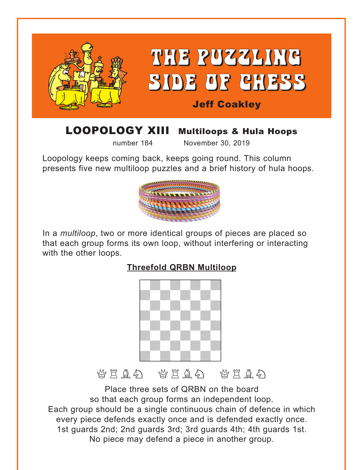<span id="page-0-0"></span>

#### LOOPOLOGY XIII Multiloops & Hula Hoops

number 184 November 30, 2019

Loopology keeps coming back, keeps going round. This column presents five new multiloop puzzles and a brief history of hula hoops.



In a *multiloop*, two or more identical groups of pieces are placed so that each group forms its own loop, without interfering or interacting with the other loops.

#### **[Threefold QRBN Multiloop](#page-4-0)** <u>www.common.common.com</u>



GEAG GEAG GEAG

Place three sets of QRBN on the board so that each group forms an independent loop. Each group should be a single continuous chain of defence in which every piece defends exactly once and is defended exactly once. 1st guards 2nd; 2nd guards 3rd; 3rd guards 4th; 4th guards 1st. No piece may defend a piece in another group.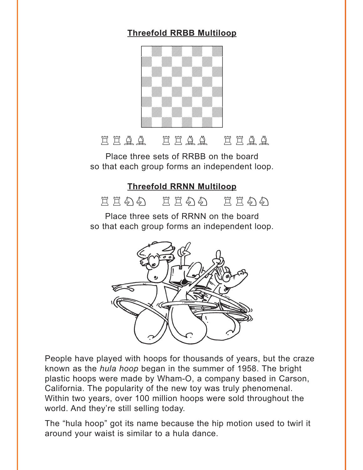#### <span id="page-1-0"></span>**[Threefold RRBB Multiloop](#page-4-0)** where  $\frac{1}{2}$  is the set of  $\frac{1}{2}$



# EEAA EEAA EEAA

Place three sets of RRBB on the board so that each group forms an independent loop.

#### **[Threefold RRNN Multiloop](#page-5-0)**



Place three sets of RRNN on the board so that each group forms an independent loop.



People have played with hoops for thousands of years, but the craze known as the *hula hoop* began in the summer of 1958. The bright plastic hoops were made by Wham-O, a company based in Carson, California. The popularity of the new toy was truly phenomenal. Within two years, over 100 million hoops were sold throughout the world. And they're still selling today.

The "hula hoop" got its name because the hip motion used to twirl it around your waist is similar to a hula dance.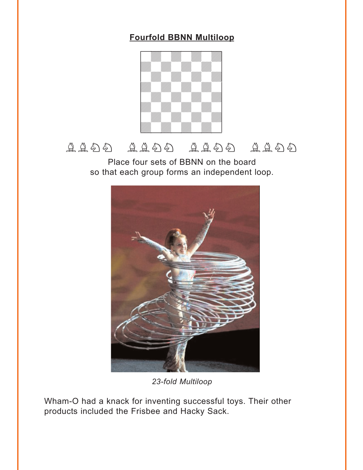#### <span id="page-2-0"></span>**[Fourfold BBNN Multiloop](#page-5-0)**



# 11559 11559 11559 11559 11559 11559 11559 11559 11559 11559 11559 11559 11559 11559 11559 11559 11559 11559 11

Place four sets of BBNN on the board so that each group forms an independent loop.



*23-fold Multiloop*

Wham-O had a knack for inventing successful toys. Their other products included the Frisbee and Hacky Sack.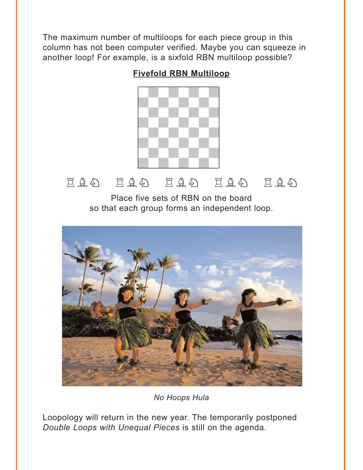<span id="page-3-0"></span>The maximum number of multiloops for each piece group in this column has not been computer verified. Maybe you can squeeze in another loop! For example, is a sixfold RBN multiloop possible?

#### **[Fivefold RBN Multiloop](#page-6-0)**



## EAS EAS EAS EAS

Place five sets of RBN on the board so that each group forms an independent loop.



*No Hoops Hula* 

Loopology will return in the new year. The temporarily postponed *Double Loops with Unequal Pieces* is still on the agenda.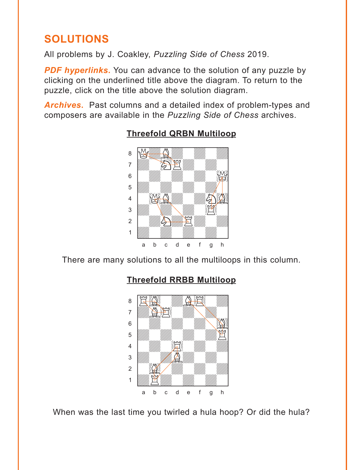## <span id="page-4-0"></span>**SOLUTIONS**

All problems by J. Coakley, *Puzzling Side of Chess* 2019.

**PDF hyperlinks.** You can advance to the solution of any puzzle by clicking on the underlined title above the diagram. To return to the puzzle, click on the title above the solution diagram.

*Archives***.** Past columns and a detailed index of problem-types and composers are available in the *Puzzling Side of Chess* archives.



#### **[Threefold QRBN Multiloop](#page-0-0)**

There are many solutions to all the multiloops in this column.

#### **[Threefold RRBB Multiloop](#page-1-0)** with  $\frac{w}{2}$  , we have the set of  $\frac{w}{2}$



When was the last time you twirled a hula hoop? Or did the hula?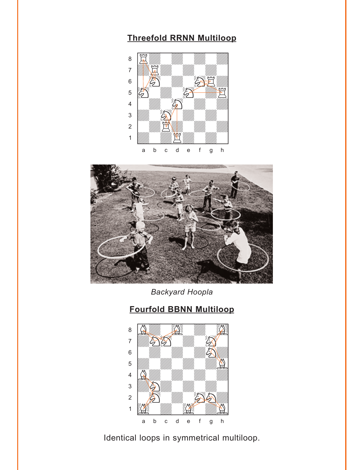### <span id="page-5-0"></span>**[Threefold RRNN Multiloop](#page-1-0)**





*Backyard Hoopla*

#### **[Fourfold BBNN Multiloop](#page-2-0)**



Identical loops in symmetrical multiloop.